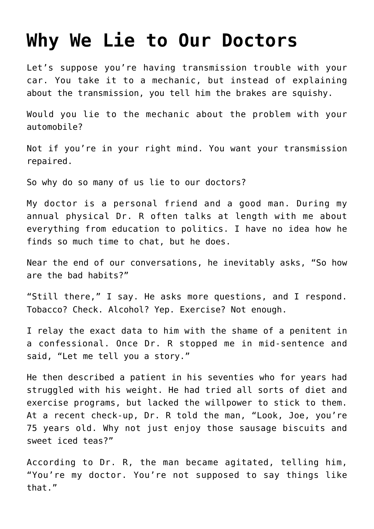## **[Why We Lie to Our Doctors](https://intellectualtakeout.org/2019/10/why-we-lie-to-our-doctors/)**

Let's suppose you're having transmission trouble with your car. You take it to a mechanic, but instead of explaining about the transmission, you tell him the brakes are squishy.

Would you lie to the mechanic about the problem with your automobile?

Not if you're in your right mind. You want your transmission repaired.

So why do so many of us lie to our doctors?

My doctor is a personal friend and a good man. During my annual physical Dr. R often talks at length with me about everything from education to politics. I have no idea how he finds so much time to chat, but he does.

Near the end of our conversations, he inevitably asks, "So how are the bad habits?"

"Still there," I say. He asks more questions, and I respond. Tobacco? Check. Alcohol? Yep. Exercise? Not enough.

I relay the exact data to him with the shame of a penitent in a confessional. Once Dr. R stopped me in mid-sentence and said, "Let me tell you a story."

He then described a patient in his seventies who for years had struggled with his weight. He had tried all sorts of diet and exercise programs, but lacked the willpower to stick to them. At a recent check-up, Dr. R told the man, "Look, Joe, you're 75 years old. Why not just enjoy those sausage biscuits and sweet iced teas?"

According to Dr. R, the man became agitated, telling him, "You're my doctor. You're not supposed to say things like that."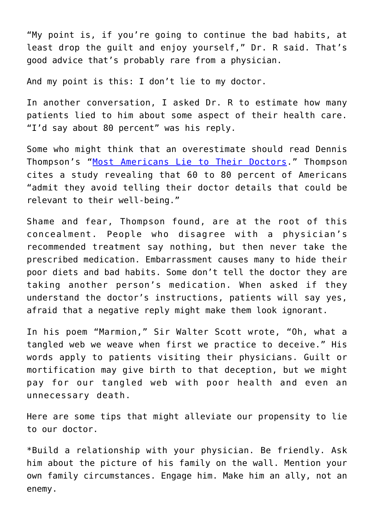"My point is, if you're going to continue the bad habits, at least drop the guilt and enjoy yourself," Dr. R said. That's good advice that's probably rare from a physician.

And my point is this: I don't lie to my doctor.

In another conversation, I asked Dr. R to estimate how many patients lied to him about some aspect of their health care. "I'd say about 80 percent" was his reply.

Some who might think that an overestimate should read Dennis Thompson's "[Most Americans Lie to Their Doctors.](https://www.webmd.com/a-to-z-guides/news/20181204/most-americans-lie-to-their-doctors#1)" Thompson cites a study revealing that 60 to 80 percent of Americans "admit they avoid telling their doctor details that could be relevant to their well-being."

Shame and fear, Thompson found, are at the root of this concealment. People who disagree with a physician's recommended treatment say nothing, but then never take the prescribed medication. Embarrassment causes many to hide their poor diets and bad habits. Some don't tell the doctor they are taking another person's medication. When asked if they understand the doctor's instructions, patients will say yes, afraid that a negative reply might make them look ignorant.

In his poem "Marmion," Sir Walter Scott wrote, "Oh, what a tangled web we weave when first we practice to deceive." His words apply to patients visiting their physicians. Guilt or mortification may give birth to that deception, but we might pay for our tangled web with poor health and even an unnecessary death.

Here are some tips that might alleviate our propensity to lie to our doctor.

\*Build a relationship with your physician. Be friendly. Ask him about the picture of his family on the wall. Mention your own family circumstances. Engage him. Make him an ally, not an enemy.